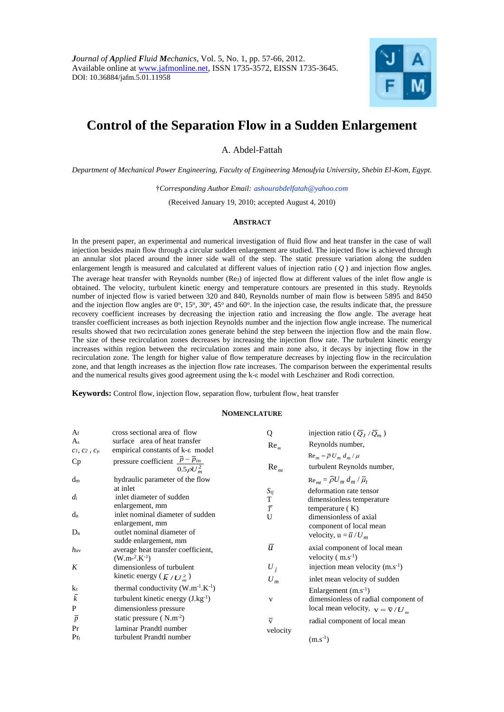

# **Control of the Separation Flow in a Sudden Enlargement**

A. Abdel-Fattah

*Department of Mechanical Power Engineering, Faculty of Engineering Menoufyia University, Shebin El-Kom, Egypt.*

†*Corresponding Author Email: ashourabdelfatah@yahoo.com*

(Received January 19, 2010; accepted August 4, 2010)

## **ABSTRACT**

In the present paper, an experimental and numerical investigation of fluid flow and heat transfer in the case of wall injection besides main flow through a circular sudden enlargement are studied. The injected flow is achieved through an annular slot placed around the inner side wall of the step. The static pressure variation along the sudden enlargement length is measured and calculated at different values of injection ratio ( *Q* ) and injection flow angles. The average heat transfer with Reynolds number (Rej) of injected flow at different values of the inlet flow angle is obtained. The velocity, turbulent kinetic energy and temperature contours are presented in this study. Reynolds number of injected flow is varied between 320 and 840, Reynolds number of main flow is between 5895 and 8450 and the injection flow angles are  $0^\circ$ ,  $15^\circ$ ,  $30^\circ$ ,  $45^\circ$  and  $60^\circ$ . In the injection case, the results indicate that, the pressure recovery coefficient increases by decreasing the injection ratio and increasing the flow angle. The average heat transfer coefficient increases as both injection Reynolds number and the injection flow angle increase. The numerical results showed that two recirculation zones generate behind the step between the injection flow and the main flow. The size of these recirculation zones decreases by increasing the injection flow rate. The turbulent kinetic energy increases within region between the recirculation zones and main zone also, it decays by injecting flow in the recirculation zone. The length for higher value of flow temperature decreases by injecting flow in the recirculation zone, and that length increases as the injection flow rate increases. The comparison between the experimental results and the numerical results gives good agreement using the k-ε model with Leschziner and Rodi correction.

**Keywords:** Control flow, injection flow, separation flow, turbulent flow, heat transfer

### **NOMENCLATURE**

| $A_f$<br>$A_{s}$<br>$C_1, C_2, C_\mu$<br>Cp | cross sectional area of flow<br>surface area of heat transfer<br>empirical constants of k- $\varepsilon$ model<br>pressure coefficient $\frac{\overline{p} - \overline{p}_{in}}{2}$<br>$0.5 \rho U_m^2$ | Q<br>Re <sub>m</sub><br>Re <sub>mt</sub> | injection ratio ( $\overline{Q}_J / \overline{Q}_m$ )<br>Reynolds number,<br>$\text{Re}_{m} = \overline{\rho} U_{m} d_{m} / \mu$<br>turbulent Reynolds number, |
|---------------------------------------------|---------------------------------------------------------------------------------------------------------------------------------------------------------------------------------------------------------|------------------------------------------|----------------------------------------------------------------------------------------------------------------------------------------------------------------|
| $d_m$                                       | hydraulic parameter of the flow<br>at inlet                                                                                                                                                             | $S_{ij}$                                 | $\text{Re}_{mt} = \overline{\rho} U_m d_m / \overline{\mu}_t$<br>deformation rate tensor                                                                       |
| $d_i$                                       | inlet diameter of sudden<br>enlargement, mm                                                                                                                                                             | T<br>$\bar{T}$                           | dimensionless temperature<br>temperature $(K)$                                                                                                                 |
| $d_n$                                       | inlet nominal diameter of sudden<br>enlargement, mm                                                                                                                                                     | U                                        | dimensionless of axial<br>component of local mean                                                                                                              |
| $D_n$                                       | outlet nominal diameter of<br>sudde enlargement, mm                                                                                                                                                     |                                          | velocity, $u = \overline{u}/U_m$                                                                                                                               |
| $h_{av}$                                    | average heat transfer coefficient,<br>$(W.m-2.K-1)$                                                                                                                                                     | $\boldsymbol{u}$                         | axial component of local mean<br>velocity $(m.s^{-1})$                                                                                                         |
| K                                           | dimensionless of turbulent                                                                                                                                                                              | $U_i$                                    | injection mean velocity $(m.s^{-1})$                                                                                                                           |
| k <sub>c</sub>                              | kinetic energy ( $\bar{k}/U_m^2$ )<br>thermal conductivity $(W.m^{-1}.K^{-1})$                                                                                                                          | $U_m$                                    | inlet mean velocity of sudden                                                                                                                                  |
| $\overline{k}$<br>$\mathbf{P}$              | turbulent kinetic energy $(J.kg^{-1})$<br>dimensionless pressure                                                                                                                                        | V                                        | Enlargement $(m.s^{-1})$<br>dimensionless of radial component of<br>local mean velocity, $v = \overline{v}/U_m$                                                |
| $\overline{p}$<br>Pr<br>$Pr_{t}$            | static pressure $(N.m^{-2})$<br>laminar Prandtl number<br>turbulent Prandtl number                                                                                                                      | $\overline{\overline{v}}$<br>velocity    | radial component of local mean<br>$(m.s^{-1})$                                                                                                                 |
|                                             |                                                                                                                                                                                                         |                                          |                                                                                                                                                                |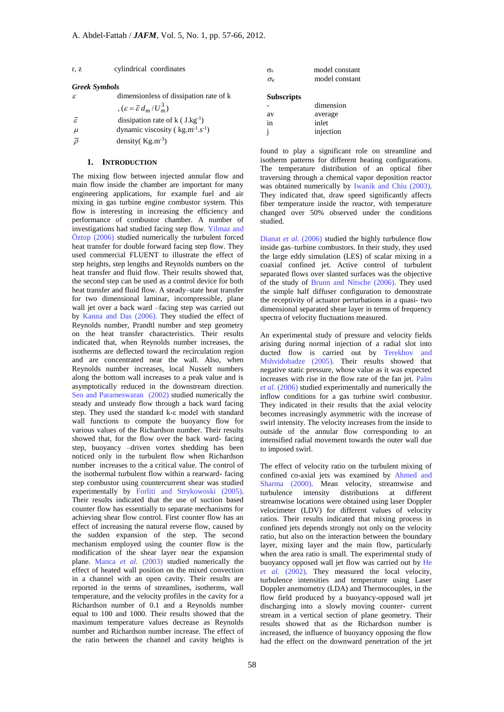| r, z                 | cylindrical coordinates                | σε                | model constant |
|----------------------|----------------------------------------|-------------------|----------------|
|                      |                                        | $\sigma_{\kappa}$ | model constant |
| <b>Greek Symbols</b> |                                        |                   |                |
|                      | dimensionless of dissipation rate of k | <b>Subscripts</b> |                |

|                     | $\epsilon = \bar{\varepsilon} d_m/U_m^3$       |
|---------------------|------------------------------------------------|
| $\bar{\varepsilon}$ | dissipation rate of $k$ ( J.kg <sup>-1</sup> ) |

 $\mu$  dynamic viscosity (kg.m<sup>-1</sup>.s<sup>-1</sup>)

 $\overline{\rho}$  density( Kg.m<sup>-3</sup>)

# **1. INTRODUCTION**

The mixing flow between injected annular flow and main flow inside the chamber are important for many engineering applications, for example fuel and air mixing in gas turbine engine combustor system. This flow is interesting in increasing the efficiency and performance of combustor chamber. A number of investigations had studied facing step flow. Yilmaz and Öztop (2006) studied numerically the turbulent forced heat transfer for double forward facing step flow. They used commercial FLUENT to illustrate the effect of step heights, step lengths and Reynolds numbers on the heat transfer and fluid flow. Their results showed that, the second step can be used as a control device for both heat transfer and fluid flow. A steady–state heat transfer for two dimensional laminar, incompressible, plane wall jet over a back ward –facing step was carried out by Kanna and Das (2006). They studied the effect of Reynolds number, Prandtl number and step geometry on the heat transfer characteristics. Their results indicated that, when Reynolds number increases, the isotherms are deflected toward the recirculation region and are concentrated near the wall. Also, when Reynolds number increases, local Nusselt numbers along the bottom wall increases to a peak value and is asymptotically reduced in the downstream direction. Seo and Parameswaran (2002) studied numerically the steady and unsteady flow through a back ward facing step. They used the standard k-ε model with standard wall functions to compute the buoyancy flow for various values of the Richardson number. Their results showed that, for the flow over the back ward- facing step, buoyancy –driven vortex shedding has been noticed only in the turbulent flow when Richardson number increases to the a critical value. The control of the isothermal turbulent flow within a rearward- facing step combustor using countercurrent shear was studied experimentally by Forliti and Strykowoski (2005). Their results indicated that the use of suction based counter flow has essentially to separate mechanisms for achieving shear flow control. First counter flow has an effect of increasing the natural reverse flow, caused by the sudden expansion of the step. The second mechanism employed using the counter flow is the modification of the shear layer near the expansion plane. Manca *et al.* (2003) studied numerically the effect of heated wall position on the mixed convection in a channel with an open cavity. Their results are reported in the terms of streamlines, isotherms, wall temperature, and the velocity profiles in the cavity for a Richardson number of 0.1 and a Reynolds number equal to 100 and 1000. Their results showed that the maximum temperature values decrease as Reynolds number and Richardson number increase. The effect of the ratio between the channel and cavity heights is

**Subscripts** dimension av average in inlet

i injection

found to play a significant role on streamline and isotherm patterns for different heating configurations. The temperature distribution of an optical fiber traversing through a chemical vapor deposition reactor was obtained numerically by Iwanik and Chiu (2003). They indicated that, draw speed significantly affects fiber temperature inside the reactor, with temperature changed over 50% observed under the conditions studied.

Dianat *et al.* (2006) studied the highly turbulence flow inside gas–turbine combustors. In their study, they used the large eddy simulation (LES) of scalar mixing in a coaxial confined jet. Active control of turbulent separated flows over slanted surfaces was the objective of the study of Brunn and Nitsche (2006). They used the simple half diffuser configuration to demonstrate the receptivity of actuator perturbations in a quasi- two dimensional separated shear layer in terms of frequency spectra of velocity fluctuations measured.

An experimental study of pressure and velocity fields arising during normal injection of a radial slot into ducted flow is carried out by Terekhov and Mshvidobadze (2005). Their results showed that negative static pressure, whose value as it was expected increases with rise in the flow rate of the fan jet. Palm *et al.* (2006) studied experimentally and numerically the inflow conditions for a gas turbine swirl combustor. They indicated in their results that the axial velocity becomes increasingly asymmetric with the increase of swirl intensity. The velocity increases from the inside to outside of the annular flow corresponding to an intensified radial movement towards the outer wall due to imposed swirl.

The effect of velocity ratio on the turbulent mixing of confined co-axial jets was examined by Ahmed and Sharma (2000). Mean velocity, streamwise and turbulence intensity distributions at different streamwise locations were obtained using laser Doppler velocimeter (LDV) for different values of velocity ratios. Their results indicated that mixing process in confined jets depends strongly not only on the velocity ratio, but also on the interaction between the boundary layer, mixing layer and the main flow, particularly when the area ratio is small. The experimental study of buoyancy opposed wall jet flow was carried out by He *et al.* (2002). They measured the local velocity, turbulence intensities and temperature using Laser Doppler anemometry (LDA) and Thermocouples, in the flow field produced by a buoyancy-opposed wall jet discharging into a slowly moving counter- current stream in a vertical section of plane geometry. Their results showed that as the Richardson number is increased, the influence of buoyancy opposing the flow had the effect on the downward penetration of the jet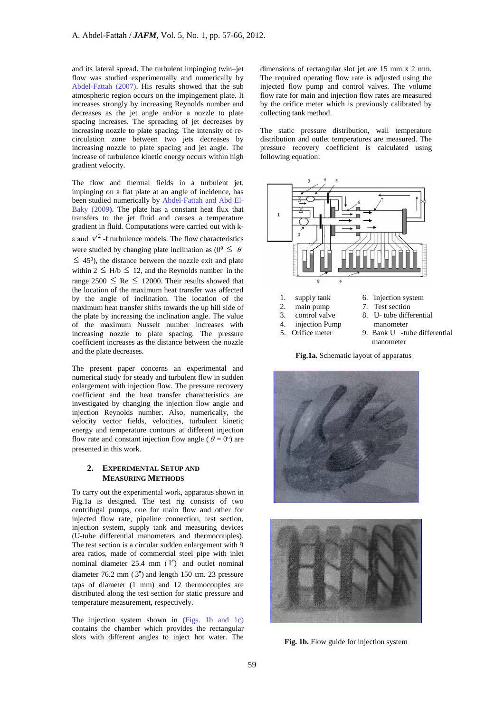and its lateral spread. The turbulent impinging twin–jet flow was studied experimentally and numerically by Abdel-Fattah (2007). His results showed that the sub atmospheric region occurs on the impingement plate. It increases strongly by increasing Reynolds number and decreases as the jet angle and/or a nozzle to plate spacing increases. The spreading of jet decreases by increasing nozzle to plate spacing. The intensity of recirculation zone between two jets decreases by increasing nozzle to plate spacing and jet angle. The increase of turbulence kinetic energy occurs within high gradient velocity.

The flow and thermal fields in a turbulent jet. impinging on a flat plate at an angle of incidence, has been studied numerically by Abdel-Fattah and Abd El-Baky (2009**)**. The plate has a constant heat flux that transfers to the jet fluid and causes a temperature gradient in fluid. Computations were carried out with k- $\epsilon$  and  $v'^2$  -f turbulence models. The flow characteristics were studied by changing plate inclination as  $(0^0 \le \theta)$  $\leq$  45<sup>0</sup>), the distance between the nozzle exit and plate within  $2 \leq H/b \leq 12$ , and the Reynolds number in the range  $2500 \leq Re \leq 12000$ . Their results showed that the location of the maximum heat transfer was affected by the angle of inclination. The location of the maximum heat transfer shifts towards the up hill side of the plate by increasing the inclination angle. The value of the maximum Nusselt number increases with increasing nozzle to plate spacing. The pressure coefficient increases as the distance between the nozzle and the plate decreases.

The present paper concerns an experimental and numerical study for steady and turbulent flow in sudden enlargement with injection flow. The pressure recovery coefficient and the heat transfer characteristics are investigated by changing the injection flow angle and injection Reynolds number. Also, numerically, the velocity vector fields, velocities, turbulent kinetic energy and temperature contours at different injection flow rate and constant injection flow angle ( $\theta = 0^{\circ}$ ) are presented in this work.

# **2. EXPERIMENTAL SETUP AND MEASURING METHODS**

To carry out the experimental work, apparatus shown in Fig.1a is designed. The test rig consists of two centrifugal pumps, one for main flow and other for injected flow rate, pipeline connection, test section, injection system, supply tank and measuring devices (U-tube differential manometers and thermocouples). The test section is a circular sudden enlargement with 9 area ratios, made of commercial steel pipe with inlet nominal diameter  $25.4 \, \text{mm}$  (1") and outlet nominal diameter  $76.2$  mm  $(3'')$  and length 150 cm. 23 pressure taps of diameter (1 mm) and 12 thermocouples are distributed along the test section for static pressure and temperature measurement, respectively.

The injection system shown in (Figs. 1b and 1c) contains the chamber which provides the rectangular slots with different angles to inject hot water. The

dimensions of rectangular slot jet are 15 mm x 2 mm. The required operating flow rate is adjusted using the injected flow pump and control valves. The volume flow rate for main and injection flow rates are measured by the orifice meter which is previously calibrated by collecting tank method.

The static pressure distribution, wall temperature distribution and outlet temperatures are measured. The pressure recovery coefficient is calculated using following equation:



**Fig.1a.** Schematic layout of apparatus





Fig. 1b. Flow guide for injection system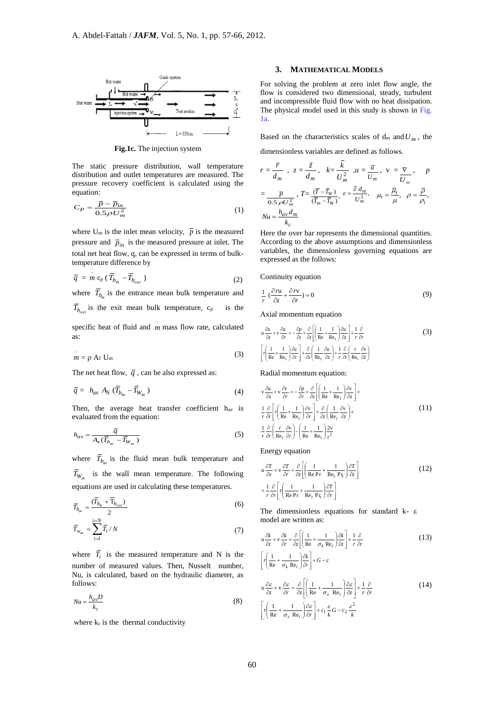

**Fig.1c.** The injection system

The static pressure distribution, wall temperature distribution and outlet temperatures are measured. The pressure recovery coefficient is calculated using the equation:

$$
C_P = \frac{\overline{P} - \overline{P}_{in}}{0.5 \rho U_m^2}
$$
 (1)

where U<sub>m</sub> is the inlet mean velocity,  $\bar{p}$  is the measured pressure and  $\bar{p}_{in}$  is the measured pressure at inlet. The total net heat flow, q, can be expressed in terms of bulktemperature difference by

$$
\overline{q} = m c_{\rm p} (\overline{T}_{b_{in}} - \overline{T}_{b_{out}})
$$
 (2)

where  $T_{b_{in}}$  is the entrance mean bulk temperature and

 $T_{b_{out}}$  is the exit mean bulk temperature,  $c_p$  is the

specific heat of fluid and *m* mass flow rate, calculated as:

$$
m = \rho A_f U_m \tag{3}
$$

The net heat flow,  $\overline{q}$ , can be also expressed as:

$$
\overline{q} = h_{\text{av}} A_S (\overline{T}_{b_{\text{av}}} - \overline{T}_{W_{\text{av}}}) \tag{4}
$$

Then, the average heat transfer coefficient hav is evaluated from the equation:

$$
h_{av} = \frac{\overline{q}}{A_s(\overline{T}_{b_{av}} - \overline{T}_{W_{av}})}
$$
\n(5)

where  $\overline{T}_{b_{av}}$  is the fluid mean bulk temperature and  $T_{W_{av}}$  is the wall mean temperature. The following equations are used in calculating these temperatures.

$$
\overline{T}_{b_{\text{av}}} = \frac{(\overline{T}_{b_{\text{in}}} + \overline{T}_{b_{\text{out}}})}{2} \tag{6}
$$

$$
\overline{T}_{w_{\text{av}}} = \sum_{i=1}^{i=N} \overline{T}_i / N \tag{7}
$$

where  $T_i$  is the measured temperature and N is the number of measured values. Then, Nusselt number, Nu, is calculated, based on the hydraulic diameter, as follows:

$$
Nu = \frac{h_{av}D}{k_c}
$$
 (8)

where  $k_c$  is the thermal conductivity

# **3. MATHEMATICAL MODELS**

For solving the problem at zero inlet flow angle, the flow is considered two dimensional, steady, turbulent and incompressible fluid flow with no heat dissipation. The physical model used in this study is shown in Fig. 1a.

Based on the characteristics scales of  $d_m$  and  $U_m$ , the

dimensionless variables are defined as follows.

$$
r = \frac{\overline{r}}{d_m}, \quad z = \frac{\overline{z}}{d_m}, \quad k = \frac{k}{U_m^2}, \quad u = \frac{\overline{u}}{U_m}, \quad v = \frac{\overline{v}}{U_m}, \quad p
$$
\n
$$
= \frac{\overline{p}}{0.5 \rho U_m^2}, \quad T = \frac{(\overline{r} - \overline{r}_w)}{(\overline{r}_m - \overline{r}_w)}, \quad \varepsilon = \frac{\overline{\varepsilon} d_m}{U_m^3}, \quad \mu_t = \frac{\overline{\mu}_t}{\mu}, \quad \rho = \frac{\overline{\rho}}{\rho_i},
$$
\n
$$
Nu = \frac{h_{av} d_m}{k_c}
$$

Here the over bar represents the dimensional quantities. According to the above assumptions and dimensionless variables, the dimensionless governing equations are expressed as the follows:

Continuity equation

$$
\frac{1}{r} \left( \frac{\partial n}{\partial z} + \frac{\partial r v}{\partial r} \right) = 0 \tag{9}
$$

Axial momentum equation

$$
u \frac{\partial u}{\partial z} + v \frac{\partial u}{\partial r} = -\frac{\partial p}{\partial z} + \frac{\partial}{\partial z} \left[ \left( \frac{1}{Re} + \frac{1}{Re_t} \right) \frac{\partial u}{\partial z} \right] + \frac{1}{r} \frac{\partial}{\partial r}
$$
  

$$
\left[ r \left( \frac{1}{Re} + \frac{1}{Re_t} \right) \frac{\partial u}{\partial r} \right] + \frac{\partial}{\partial z} \left( \frac{1}{Re_t} \frac{\partial u}{\partial z} \right) + \frac{1}{r} \frac{\partial}{\partial r} \left( \frac{r}{Re_t} \frac{\partial v}{\partial z} \right)
$$
 (3)

Radial momentum equation:

$$
v \frac{\partial u}{\partial z} + v \frac{\partial v}{\partial r} = -\frac{\partial p}{\partial r} + \frac{\partial}{\partial z} \left[ \left( \frac{1}{Re} + \frac{1}{Re_t} \right) \frac{\partial v}{\partial z} \right] +
$$
  

$$
\frac{1}{r} \frac{\partial}{\partial r} \left[ r \left( \frac{1}{Re} + \frac{1}{Re_t} \right) \frac{\partial v}{\partial r} \right] + \frac{\partial}{\partial z} \left( \frac{1}{Re_t} \frac{\partial v}{\partial z} \right) +
$$
  

$$
\frac{1}{r} \frac{\partial}{\partial r} \left( \frac{r}{Re_t} \frac{\partial v}{\partial r} \right) - \left( \frac{1}{Re} + \frac{1}{Re_t} \right) \frac{2v}{r^2}
$$
 (11)

Energy equation

$$
u \frac{\partial T}{\partial z} + v \frac{\partial T}{\partial r} = \frac{\partial}{\partial z} \left[ \left( \frac{1}{\text{Re Pr}} + \frac{1}{\text{Re}_r} \frac{\partial T}{\partial z} \right) \frac{\partial T}{\partial z} \right]
$$
  
+  $\frac{1}{r} \frac{\partial}{\partial r} \left[ r \left( \frac{1}{\text{Re Pr}} + \frac{1}{\text{Re}_r} \frac{\partial T}{\partial r} \right) \frac{\partial T}{\partial r} \right]$  (12)

The dimensionless equations for standard k- ε model are written as:

$$
u\frac{\partial k}{\partial z} + v\frac{\partial k}{\partial r} = \frac{\partial}{\partial z} \left[ \left( \frac{1}{Re} + \frac{1}{\sigma_k Re_t} \right) \frac{\partial k}{\partial z} \right] + \frac{1}{r} \frac{\partial}{\partial r}
$$
(13)

$$
\left[ r \left( \frac{1}{\text{Re}} + \frac{1}{\sigma_k \text{ Re}_t} \right) \frac{\partial k}{\partial r} \right] + G - \varepsilon
$$
\n
$$
u \frac{\partial \varepsilon}{\partial z} + v \frac{\partial \varepsilon}{\partial r} = \frac{\partial}{\partial z} \left[ \left( \frac{1}{\text{Re}} + \frac{1}{\sigma_\varepsilon \text{ Re}_t} \right) \frac{\partial \varepsilon}{\partial z} \right] + \frac{1}{r} \frac{\partial}{\partial r}
$$
\n
$$
\left[ r \left( \frac{1}{\text{Re}} + \frac{1}{\sigma_\varepsilon \text{ Re}_t} \right) \frac{\partial \varepsilon}{\partial r} \right] + c_1 \frac{\varepsilon}{k} G - c_2 \frac{\varepsilon^2}{k}
$$
\n(14)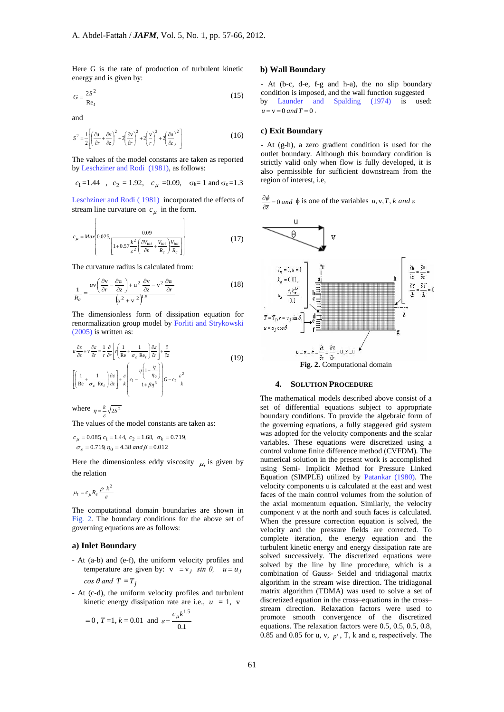Here G is the rate of production of turbulent kinetic energy and is given by:

$$
G = \frac{2S^2}{Re_t} \tag{15}
$$

and

$$
S^{2} = \frac{1}{2} \left[ \left( \frac{\partial u}{\partial r} + \frac{\partial v}{\partial z} \right)^{2} + 2 \left( \frac{\partial v}{\partial r} \right)^{2} + 2 \left( \frac{v}{r} \right)^{2} + 2 \left( \frac{\partial u}{\partial z} \right)^{2} \right]
$$
(16)

The values of the model constants are taken as reported by Leschziner and Rodi (1981), as follows:

$$
c_1 = 1.44
$$
,  $c_2 = 1.92$ ,  $c_\mu = 0.09$ ,  $\sigma_k = 1$  and  $\sigma_\epsilon = 1.3$ 

Leschziner and Rodi ( 1981) incorporated the effects of stream line curvature on  $c_{\mu}$  in the form.

$$
c_{\mu} = Max \left\{ 0.025 \frac{0.09}{\left[ 1 + 0.57 \frac{k^2}{\varepsilon^2} \left( \frac{\partial V_{tot}}{\partial n} + \frac{V_{tot}}{R_c} \right) \frac{V_{tot}}{R_c} \right] } \right\}
$$
(17)

The curvature radius is calculated from:

$$
\frac{1}{R_c} = \frac{uv\left(\frac{\partial v}{\partial r} - \frac{\partial u}{\partial z}\right) + u^2 \frac{\partial v}{\partial z} - v^2 \frac{\partial u}{\partial r}}{\left(u^2 + v^2\right)^{1.5}}
$$
(18)

The dimensionless form of dissipation equation for renormalization group model by Forliti and Strykowski (2005) is written as:

$$
u \frac{\partial \varepsilon}{\partial z} + v \frac{\partial \varepsilon}{\partial r} = \frac{1}{r} \frac{\partial}{\partial r} \left[ r \left( \frac{1}{Re} + \frac{1}{\sigma_{\varepsilon} Re_{r}} \right) \frac{\partial \varepsilon}{\partial r} \right] + \frac{\partial}{\partial z}
$$
  
\n
$$
\left[ \left( \frac{1}{Re} + \frac{1}{\sigma_{\varepsilon} Re_{r}} \right) \frac{\partial \varepsilon}{\partial z} \right] + \frac{\varepsilon}{k} \left( c_{1} - \frac{\eta \left( 1 - \frac{\eta}{\eta_{0}} \right)}{1 + \beta \eta^{3}} \right) G - c_{2} \frac{\varepsilon^{2}}{k}
$$
\n(19)

where  $\eta = \frac{k}{2s^2}$  $\eta = \frac{\kappa}{\varepsilon}$ 

The values of the model constants are taken as:

$$
c_{\mu} = 0.085 c_1 = 1.44, c_2 = 1.68, \sigma_k = 0.719,
$$
  

$$
\sigma_{\varepsilon} = 0.719, \eta_0 = 4.38 \text{ and } \beta = 0.012
$$

Here the dimensionless eddy viscosity  $\mu_t$  is given by the relation

$$
\mu_t = c_\mu R_e \frac{\rho k^2}{\varepsilon}
$$

The computational domain boundaries are shown in Fig. 2. The boundary conditions for the above set of governing equations are as follows:

# **a) Inlet Boundary**

- At (a-b) and (e-f), the uniform velocity profiles and temperature are given by:  $v = v_j \sin \theta$ ,  $u = u_j$  $cos \theta$  *and*  $T = T_j$
- At (c-d), the uniform velocity profiles and turbulent kinetic energy dissipation rate are i.e.,  $u = 1$ , v

$$
= 0
$$
,  $T = 1$ ,  $k = 0.01$  and  $\varepsilon = \frac{c_{\mu}k^{1.5}}{0.1}$ 

## **b) Wall Boundary**

- At (b-c, d-e, f-g and h-a), the no slip boundary condition is imposed, and the wall function suggested by Launder and Spalding (1974) is used:  $u = v = 0$  *and*  $T = 0$ .

#### **c) Exit Boundary**

- At (g-h), a zero gradient condition is used for the outlet boundary. Although this boundary condition is strictly valid only when flow is fully developed, it is also permissible for sufficient downstream from the region of interest, i.e,

$$
\frac{\partial \phi}{\partial \overline{z}} = 0 \text{ and } \phi \text{ is one of the variables } u, v, T, k \text{ and } \varepsilon
$$



#### **4. SOLUTION PROCEDURE**

The mathematical models described above consist of a set of differential equations subject to appropriate boundary conditions. To provide the algebraic form of the governing equations, a fully staggered grid system was adopted for the velocity components and the scalar variables. These equations were discretized using a control volume finite difference method (CVFDM). The numerical solution in the present work is accomplished using Semi- Implicit Method for Pressure Linked Equation (SIMPLE) utilized by Patankar (1980). The velocity components u is calculated at the east and west faces of the main control volumes from the solution of the axial momentum equation. Similarly, the velocity component v at the north and south faces is calculated. When the pressure correction equation is solved, the velocity and the pressure fields are corrected. To complete iteration, the energy equation and the turbulent kinetic energy and energy dissipation rate are solved successively. The discretized equations were solved by the line by line procedure, which is a combination of Gauss- Seidel and tridiagonal matrix algorithm in the stream wise direction. The tridiagonal matrix algorithm (TDMA) was used to solve a set of discretized equation in the cross–equations in the cross– stream direction. Relaxation factors were used to promote smooth convergence of the discretized equations. The relaxation factors were 0.5, 0.5, 0.5, 0.8, 0.85 and 0.85 for u, v,  $p'$ , T, k and  $\varepsilon$ , respectively. The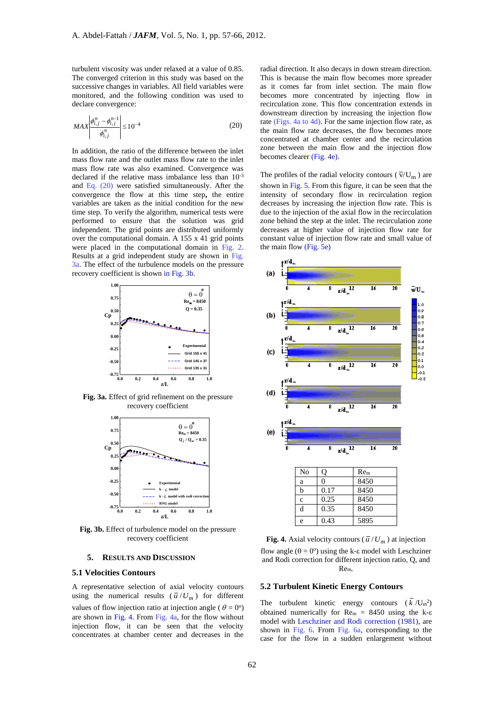turbulent viscosity was under relaxed at a value of 0.85. The converged criterion in this study was based on the successive changes in variables. All field variables were monitored, and the following condition was used to declare convergence:

$$
MAX \left| \frac{\phi_{i,j}^n - \phi_{i,j}^{n-1}}{\phi_{i,j}^n} \right| \le 10^{-4}
$$
 (20)

In addition, the ratio of the difference between the inlet mass flow rate and the outlet mass flow rate to the inlet mass flow rate was also examined. Convergence was declared if the relative mass imbalance less than 10-3 and Eq. (20) were satisfied simultaneously. After the convergence the flow at this time step**,** the entire variables are taken as the initial condition for the new time step. To verify the algorithm, numerical tests were performed to ensure that the solution was grid independent. The grid points are distributed uniformly over the computational domain. A 155 x 41 grid points were placed in the computational domain in Fig. 2. Results at a grid independent study are shown in Fig. 3a. The effect of the turbulence models on the pressure recovery coefficient is shown in Fig. 3b.



**Fig. 3a.** Effect of grid refinement on the pressure recovery coefficient



**Fig. 3b.** Effect of turbulence model on the pressure recovery coefficient

#### **5. RESULTS AND DISCUSSION**

## **5.1 Velocities Contours**

A representative selection of axial velocity contours using the numerical results  $(\overline{u}/U_m)$  for different values of flow injection ratio at injection angle ( $\theta = 0^{\circ}$ ) are shown in Fig. 4. From Fig. 4a, for the flow without injection flow, it can be seen that the velocity concentrates at chamber center and decreases in the

radial direction. It also decays in down stream direction. This is because the main flow becomes more spreader as it comes far from inlet section. The main flow becomes more concentrated by injecting flow in recirculation zone. This flow concentration extends in downstream direction by increasing the injection flow rate (Figs. 4a to 4d). For the same injection flow rate, as the main flow rate decreases, the flow becomes more concentrated at chamber center and the recirculation zone between the main flow and the injection flow becomes clearer (Fig. 4e).

The profiles of the radial velocity contours ( $\overline{v}/U_m$ ) are shown in Fig. 5. From this figure, it can be seen that the intensity of secondary flow in recirculation region decreases by increasing the injection flow rate. This is due to the injection of the axial flow in the recirculation zone behind the step at the inlet. The recirculation zone decreases at higher value of injection flow rate for constant value of injection flow rate and small value of the main flow (Fig. 5e)



**Fig. 4.** Axial velocity contours ( $\overline{u}/U_m$ ) at injection flow angle  $(\theta = 0^{\circ})$  using the k- $\varepsilon$  model with Leschziner and Rodi correction for different injection ratio, Q, and Rem.

# **5.2 Turbulent Kinetic Energy Contours**

The turbulent kinetic energy contours  $(k / U_m^2)$ obtained numerically for  $Re<sub>m</sub> = 8450$  using the k- $\epsilon$ model with Leschziner and Rodi correction (1981), are shown in Fig. 6. From Fig. 6a, corresponding to the case for the flow in a sudden enlargement without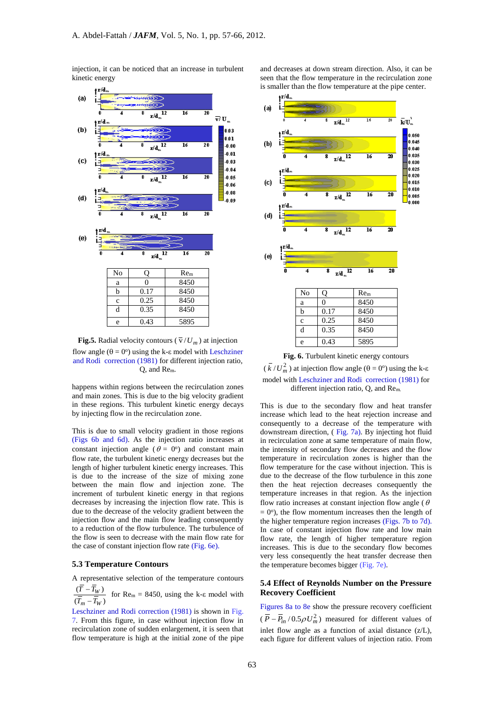injection, it can be noticed that an increase in turbulent kinetic energy



**Fig.5.** Radial velocity contours ( $\overline{v}/U_m$ ) at injection flow angle  $(\theta = 0^{\circ})$  using the k- $\varepsilon$  model with Leschziner and Rodi correction (1981) for different injection ratio, Q, and Rem.

happens within regions between the recirculation zones and main zones. This is due to the big velocity gradient in these regions. This turbulent kinetic energy decays by injecting flow in the recirculation zone.

This is due to small velocity gradient in those regions (Figs 6b and 6d). As the injection ratio increases at constant injection angle ( $\theta = 0^{\circ}$ ) and constant main flow rate, the turbulent kinetic energy decreases but the length of higher turbulent kinetic energy increases. This is due to the increase of the size of mixing zone between the main flow and injection zone. The increment of turbulent kinetic energy in that regions decreases by increasing the injection flow rate. This is due to the decrease of the velocity gradient between the injection flow and the main flow leading consequently to a reduction of the flow turbulence. The turbulence of the flow is seen to decrease with the main flow rate for the case of constant injection flow rate (Fig. 6e).

#### **5.3 Temperature Contours**

A representative selection of the temperature contours

 $(T_m - T_W)$  $\frac{(T - T_W)}{T}$  for Re<sub>m</sub> = 8450, using the k-ε model with

Leschziner and Rodi correction (1981) is shown in Fig. 7. From this figure, in case without injection flow in recirculation zone of sudden enlargement, it is seen that flow temperature is high at the initial zone of the pipe and decreases at down stream direction. Also, it can be seen that the flow temperature in the recirculation zone is smaller than the flow temperature at the pipe center.



**Fig. 6.** Turbulent kinetic energy contours

 $(\bar{k}/U_m^2)$  at injection flow angle  $(\theta = 0^{\circ})$  using the k- $\varepsilon$ model with Leschziner and Rodi correction (1981) for different injection ratio, Q, and Rem.

This is due to the secondary flow and heat transfer increase which lead to the heat rejection increase and consequently to a decrease of the temperature with downstream direction, ( Fig. 7a). By injecting hot fluid in recirculation zone at same temperature of main flow, the intensity of secondary flow decreases and the flow temperature in recirculation zones is higher than the flow temperature for the case without injection. This is due to the decrease of the flow turbulence in this zone then the heat rejection decreases consequently the temperature increases in that region. As the injection flow ratio increases at constant injection flow angle ( $\theta$ )  $= 0^\circ$ ), the flow momentum increases then the length of the higher temperature region increases (Figs. 7b to 7d). In case of constant injection flow rate and low main flow rate, the length of higher temperature region increases. This is due to the secondary flow becomes very less consequently the heat transfer decrease then the temperature becomes bigger (Fig. 7e).

## **5.4 Effect of Reynolds Number on the Pressure Recovery Coefficient**

Figures 8a to 8e show the pressure recovery coefficient  $(\overline{P} - \overline{P}_{in} / 0.5 \rho U_m^2)$  measured for different values of inlet flow angle as a function of axial distance (z/L), each figure for different values of injection ratio. From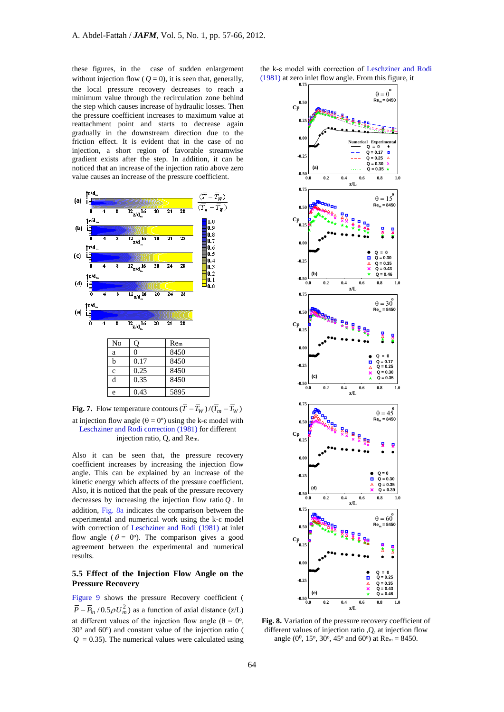these figures, in the case of sudden enlargement without injection flow ( $Q = 0$ ), it is seen that, generally, the local pressure recovery decreases to reach a minimum value through the recirculation zone behind the step which causes increase of hydraulic losses. Then the pressure coefficient increases to maximum value at reattachment point and starts to decrease again gradually in the downstream direction due to the friction effect. It is evident that in the case of no injection, a short region of favorable streamwise gradient exists after the step. In addition, it can be noticed that an increase of the injection ratio above zero value causes an increase of the pressure coefficient.



**Fig. 7.** Flow temperature contours  $(T - T_W)/(T_m - T_W)$ at injection flow angle  $(\theta = 0^{\circ})$  using the k- $\varepsilon$  model with Leschziner and Rodi correction (1981) for different injection ratio, Q, and Rem.

Also it can be seen that, the pressure recovery coefficient increases by increasing the injection flow angle. This can be explained by an increase of the kinetic energy which affects of the pressure coefficient. Also, it is noticed that the peak of the pressure recovery decreases by increasing the injection flow ratio *Q* . In addition, Fig. 8a indicates the comparison between the experimental and numerical work using the k-ε model with correction of Leschziner and Rodi (1981) at inlet flow angle ( $\theta = 0^{\circ}$ ). The comparison gives a good agreement between the experimental and numerical results.

# **5.5 Effect of the Injection Flow Angle on the Pressure Recovery**

Figure 9 shows the pressure Recovery coefficient (  $\overline{P} - \overline{P}_{in}$  /0.5 $\rho U_m^2$ ) as a function of axial distance (z/L) at different values of the injection flow angle ( $\theta = 0^{\circ}$ ), 30° and 60°) and constant value of the injection ratio (  $Q = 0.35$ ). The numerical values were calculated using the k-ε model with correction of Leschziner and Rodi (1981) at zero inlet flow angle. From this figure, it



**Fig. 8.** Variation of the pressure recovery coefficient of different values of injection ratio ,O, at injection flow angle (0<sup>0</sup>, 15<sup>o</sup>, 30<sup>o</sup>, 45<sup>o</sup> and 60<sup>o</sup>) at Re<sub>m</sub> = 8450.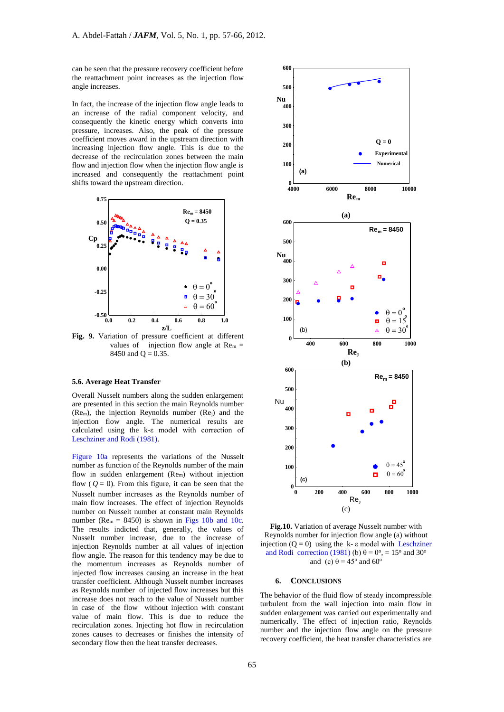can be seen that the pressure recovery coefficient before the reattachment point increases as the injection flow angle increases.

In fact, the increase of the injection flow angle leads to an increase of the radial component velocity, and consequently the kinetic energy which converts into pressure, increases. Also, the peak of the pressure coefficient moves award in the upstream direction with increasing injection flow angle. This is due to the decrease of the recirculation zones between the main flow and injection flow when the injection flow angle is increased and consequently the reattachment point shifts toward the upstream direction.



**Fig. 9.** Variation of pressure coefficient at different values of injection flow angle at  $\text{Re}_{m} =$ 8450 and  $Q = 0.35$ .

#### **5.6. Average Heat Transfer**

Overall Nusselt numbers along the sudden enlargement are presented in this section the main Reynolds number (Rem), the injection Reynolds number (Rej) and the injection flow angle. The numerical results are calculated using the k-ε model with correction of Leschziner and Rodi (1981).

Figure 10a represents the variations of the Nusselt number as function of the Reynolds number of the main flow in sudden enlargement (Rem) without injection flow  $(Q = 0)$ . From this figure, it can be seen that the Nusselt number increases as the Reynolds number of main flow increases. The effect of injection Reynolds number on Nusselt number at constant main Reynolds number ( $Re<sub>m</sub> = 8450$ ) is shown in Figs 10b and 10c. The results indicted that, generally, the values of Nusselt number increase, due to the increase of injection Reynolds number at all values of injection flow angle. The reason for this tendency may be due to the momentum increases as Reynolds number of injected flow increases causing an increase in the heat transfer coefficient. Although Nusselt number increases as Reynolds number of injected flow increases but this increase does not reach to the value of Nusselt number in case of the flow without injection with constant value of main flow. This is due to reduce the recirculation zones. Injecting hot flow in recirculation zones causes to decreases or finishes the intensity of secondary flow then the heat transfer decreases.



**Fig.10.** Variation of average Nusselt number with Reynolds number for injection flow angle (a) without injection  $(Q = 0)$  using the k-  $\varepsilon$  model with Leschziner and Rodi correction (1981) (b)  $\theta = 0^\circ$ , = 15° and 30° and (c)  $\theta = 45^\circ$  and 60°

#### **6. CONCLUSIONS**

The behavior of the fluid flow of steady incompressible turbulent from the wall injection into main flow in sudden enlargement was carried out experimentally and numerically. The effect of injection ratio, Reynolds number and the injection flow angle on the pressure recovery coefficient, the heat transfer characteristics are